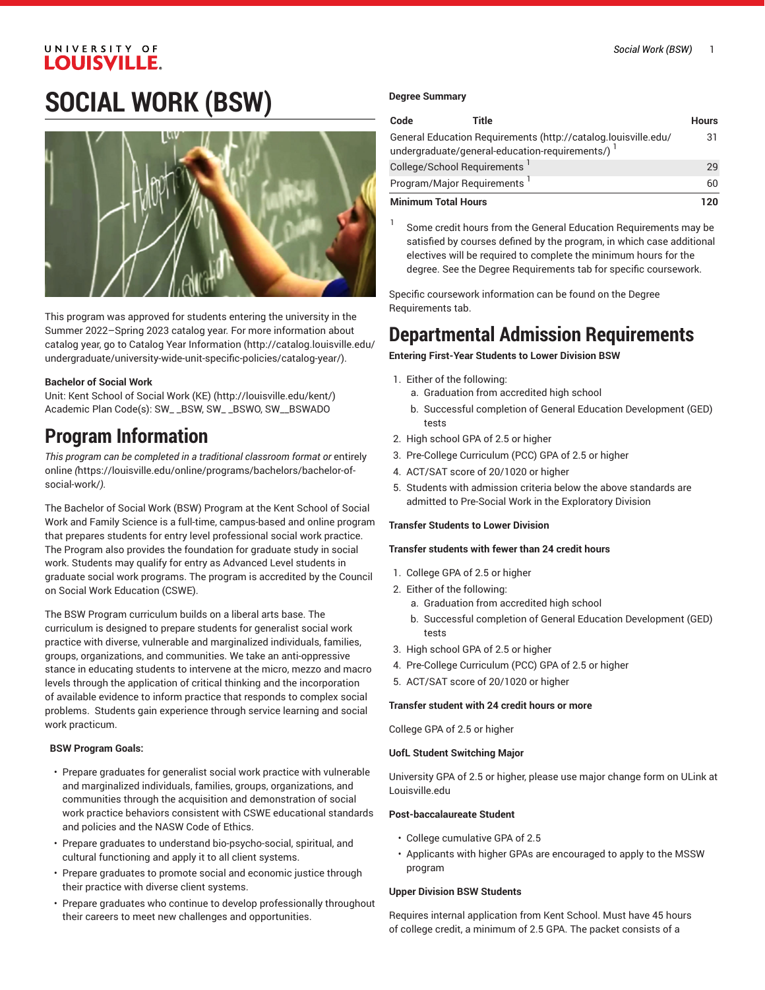# **SOCIAL WORK (BSW)**



This program was approved for students entering the university in the Summer 2022–Spring 2023 catalog year. For more information about catalog year, go to Catalog Year [Information](http://catalog.louisville.edu/undergraduate/university-wide-unit-specific-policies/catalog-year/) ([http://catalog.louisville.edu/](http://catalog.louisville.edu/undergraduate/university-wide-unit-specific-policies/catalog-year/) [undergraduate/university-wide-unit-specific-policies/catalog-year/](http://catalog.louisville.edu/undergraduate/university-wide-unit-specific-policies/catalog-year/)).

# **Bachelor of Social Work**

Unit: Kent [School](http://louisville.edu/kent/) of Social Work (KE) (<http://louisville.edu/kent/>) Academic Plan Code(s): SW\_ \_BSW, SW\_ \_BSWO, SW\_\_BSWADO

# **Program Information**

*This program can be completed in a traditional classroom format or* [entirely](https://louisville.edu/online/programs/bachelors/bachelor-of-social-work/) [online](https://louisville.edu/online/programs/bachelors/bachelor-of-social-work/) *(*[https://louisville.edu/online/programs/bachelors/bachelor-of](https://louisville.edu/online/programs/bachelors/bachelor-of-social-work/)[social-work/](https://louisville.edu/online/programs/bachelors/bachelor-of-social-work/)*).*

The Bachelor of Social Work (BSW) Program at the Kent School of Social Work and Family Science is a full-time, campus-based and online program that prepares students for entry level professional social work practice. The Program also provides the foundation for graduate study in social work. Students may qualify for entry as Advanced Level students in graduate social work programs. The program is accredited by the Council on Social Work Education (CSWE).

The BSW Program curriculum builds on a liberal arts base. The curriculum is designed to prepare students for generalist social work practice with diverse, vulnerable and marginalized individuals, families, groups, organizations, and communities. We take an anti-oppressive stance in educating students to intervene at the micro, mezzo and macro levels through the application of critical thinking and the incorporation of available evidence to inform practice that responds to complex social problems. Students gain experience through service learning and social work practicum.

# **BSW Program Goals:**

- Prepare graduates for generalist social work practice with vulnerable and marginalized individuals, families, groups, organizations, and communities through the acquisition and demonstration of social work practice behaviors consistent with CSWE educational standards and policies and the NASW Code of Ethics.
- Prepare graduates to understand bio-psycho-social, spiritual, and cultural functioning and apply it to all client systems.
- Prepare graduates to promote social and economic justice through their practice with diverse client systems.
- Prepare graduates who continue to develop professionally throughout their careers to meet new challenges and opportunities.

## **Degree Summary**

| Code                       | Title                                            |                                                                | <b>Hours</b> |
|----------------------------|--------------------------------------------------|----------------------------------------------------------------|--------------|
|                            | undergraduate/general-education-requirements/) 1 | General Education Requirements (http://catalog.louisville.edu/ | 31           |
|                            | College/School Requirements                      |                                                                | 29           |
|                            | Program/Major Requirements <sup>1</sup>          |                                                                | 60           |
| <b>Minimum Total Hours</b> |                                                  |                                                                | 12በ          |

1 Some credit hours from the General Education Requirements may be satisfied by courses defined by the program, in which case additional electives will be required to complete the minimum hours for the degree. See the Degree Requirements tab for specific coursework.

Specific coursework information can be found on the Degree Requirements tab.

# **Departmental Admission Requirements**

**Entering First-Year Students to Lower Division BSW**

- 1. Either of the following:
	- a. Graduation from accredited high school
	- b. Successful completion of General Education Development (GED) tests
- 2. High school GPA of 2.5 or higher
- 3. Pre-College Curriculum (PCC) GPA of 2.5 or higher
- 4. ACT/SAT score of 20/1020 or higher
- 5. Students with admission criteria below the above standards are admitted to Pre-Social Work in the Exploratory Division

## **Transfer Students to Lower Division**

## **Transfer students with fewer than 24 credit hours**

- 1. College GPA of 2.5 or higher
- 2. Either of the following:
	- a. Graduation from accredited high school
	- b. Successful completion of General Education Development (GED) tests
- 3. High school GPA of 2.5 or higher
- 4. Pre-College Curriculum (PCC) GPA of 2.5 or higher
- 5. ACT/SAT score of 20/1020 or higher

## **Transfer student with 24 credit hours or more**

College GPA of 2.5 or higher

## **UofL Student Switching Major**

University GPA of 2.5 or higher, please use major change form on ULink at Louisville.edu

## **Post-baccalaureate Student**

- College cumulative GPA of 2.5
- Applicants with higher GPAs are encouraged to apply to the MSSW program

## **Upper Division BSW Students**

Requires internal application from Kent School. Must have 45 hours of college credit, a minimum of 2.5 GPA. The packet consists of a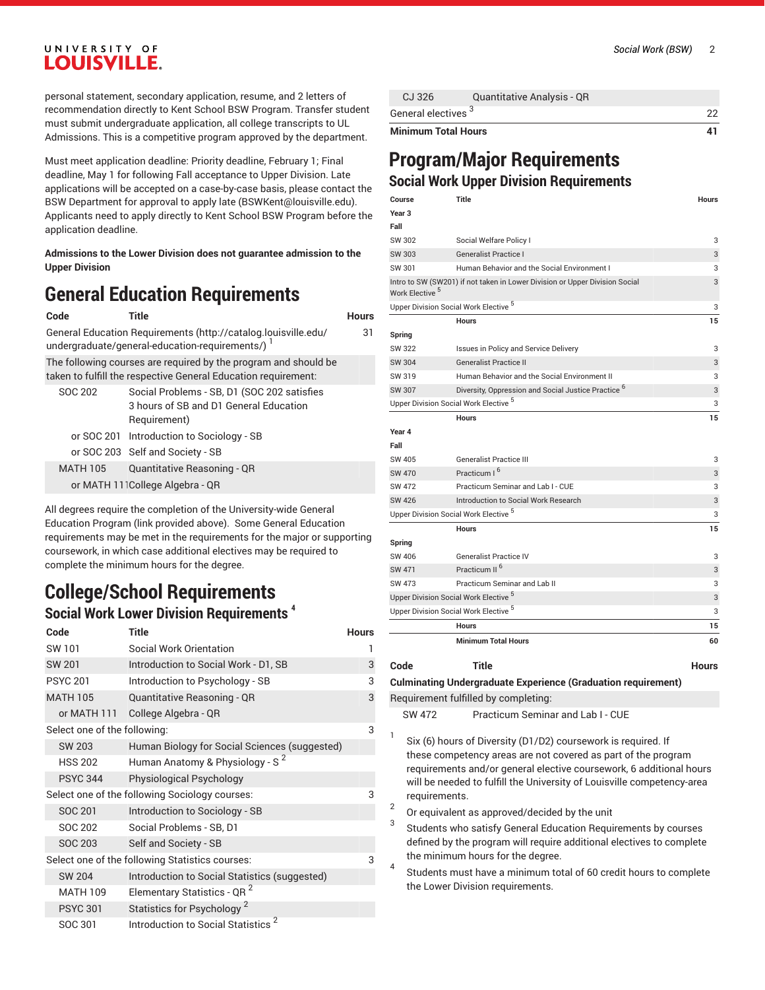personal statement, secondary application, resume, and 2 letters of recommendation directly to Kent School BSW Program. Transfer student must submit undergraduate application, all college transcripts to UL Admissions. This is a competitive program approved by the department.

Must meet application deadline: Priority deadline, February 1; Final deadline, May 1 for following Fall acceptance to Upper Division. Late applications will be accepted on a case-by-case basis, please contact the BSW Department for approval to apply late [\(BSWKent@louisville.edu](mailto:BSWKent@louisville.edu)). Applicants need to apply directly to Kent School BSW Program before the application deadline.

**Admissions to the Lower Division does not guarantee admission to the Upper Division**

# **General Education Requirements**

```
Code Title Hours
```

|         | General Education Requirements (http://catalog.louisville.edu/<br>undergraduate/general-education-requirements/)                  | 31 |
|---------|-----------------------------------------------------------------------------------------------------------------------------------|----|
|         | The following courses are required by the program and should be<br>taken to fulfill the respective General Education requirement: |    |
| SOC 202 | Social Problems - SB, D1 (SOC 202 satisfies<br>3 hours of SB and D1 General Education<br>Requirement)                             |    |
|         | or SOC 201 Introduction to Sociology - SB                                                                                         |    |
|         | or SOC 203 Self and Society - SB                                                                                                  |    |

MATH 105 Quantitative Reasoning - QR or MATH 111College Algebra - QR All degrees require the completion of the University-wide General Education Program (link provided above). Some General Education requirements may be met in the requirements for the major or supporting

coursework, in which case additional electives may be required to complete the minimum hours for the degree.

# **College/School Requirements Social Work Lower Division Requirements 4**

| Code                         | <b>Title</b>                                    | <b>Hours</b> |
|------------------------------|-------------------------------------------------|--------------|
| SW 101                       | Social Work Orientation                         | 1            |
| <b>SW 201</b>                | Introduction to Social Work - D1, SB            | 3            |
| <b>PSYC 201</b>              | Introduction to Psychology - SB                 | 3            |
| <b>MATH 105</b>              | Quantitative Reasoning - QR                     | 3            |
| or MATH 111                  | College Algebra - QR                            |              |
| Select one of the following: |                                                 | 3            |
| <b>SW 203</b>                | Human Biology for Social Sciences (suggested)   |              |
| <b>HSS 202</b>               | Human Anatomy & Physiology - S <sup>2</sup>     |              |
| <b>PSYC 344</b>              | Physiological Psychology                        |              |
|                              | Select one of the following Sociology courses:  | 3            |
| SOC 201                      | Introduction to Sociology - SB                  |              |
| SOC 202                      | Social Problems - SB, D1                        |              |
| <b>SOC 203</b>               | Self and Society - SB                           |              |
|                              | Select one of the following Statistics courses: | 3            |
| <b>SW 204</b>                | Introduction to Social Statistics (suggested)   |              |
| <b>MATH 109</b>              | Elementary Statistics - QR <sup>2</sup>         |              |
| <b>PSYC 301</b>              | Statistics for Psychology <sup>2</sup>          |              |
| SOC 301                      | 2<br><b>Introduction to Social Statistics</b>   |              |

|  |  | Social Work (BSW) | 2 |
|--|--|-------------------|---|
|--|--|-------------------|---|

# **Program/Major Requirements Social Work Upper Division Requirements**

| Course                     | <b>Title</b>                                                                | <b>Hours</b> |
|----------------------------|-----------------------------------------------------------------------------|--------------|
| Year <sub>3</sub>          |                                                                             |              |
| Fall                       |                                                                             |              |
| SW 302                     | Social Welfare Policy I                                                     | 3            |
| SW 303                     | <b>Generalist Practice I</b>                                                | 3            |
| SW 301                     | Human Behavior and the Social Environment I                                 | 3            |
| Work Elective <sup>5</sup> | Intro to SW (SW201) if not taken in Lower Division or Upper Division Social | 3            |
|                            | Upper Division Social Work Elective <sup>5</sup>                            | 3            |
|                            | <b>Hours</b>                                                                | 15           |
| Spring                     |                                                                             |              |
| SW 322                     | Issues in Policy and Service Delivery                                       | 3            |
| SW 304                     | <b>Generalist Practice II</b>                                               | 3            |
| SW 319                     | Human Behavior and the Social Environment II                                | 3            |
| SW 307                     | Diversity, Oppression and Social Justice Practice <sup>6</sup>              | 3            |
|                            | Upper Division Social Work Elective <sup>5</sup>                            | 3            |
|                            | <b>Hours</b>                                                                | 15           |
| Year 4                     |                                                                             |              |
| Fall                       |                                                                             |              |
| SW 405                     | <b>Generalist Practice III</b>                                              | 3            |
| SW 470                     | Practicum I <sup>6</sup>                                                    | 3            |
| SW 472                     | Practicum Seminar and Lab I - CUE                                           | 3            |
| SW 426                     | Introduction to Social Work Research                                        | 3            |
|                            | Upper Division Social Work Elective <sup>5</sup>                            | 3            |
|                            | <b>Hours</b>                                                                | 15           |
| Spring                     |                                                                             |              |
| SW 406                     | <b>Generalist Practice IV</b>                                               | 3            |
| <b>SW 471</b>              | Practicum II <sup>6</sup>                                                   | 3            |
| SW 473                     | Practicum Seminar and Lab II                                                | 3            |
|                            | Upper Division Social Work Elective <sup>5</sup>                            | 3            |
|                            | Upper Division Social Work Elective <sup>5</sup>                            | 3            |
|                            | <b>Hours</b>                                                                | 15           |
|                            | <b>Minimum Total Hours</b>                                                  | 60           |
| Code                       | <b>Title</b>                                                                | Hours        |

**Culminating Undergraduate Experience (Graduation requirement)**

Requirement fulfilled by completing:

SW 472 Practicum Seminar and Lab I - CUE

- 1 Six (6) hours of Diversity (D1/D2) coursework is required. If these competency areas are not covered as part of the program requirements and/or general elective coursework, 6 additional hours will be needed to fulfill the University of Louisville competency-area requirements.
- 2 Or equivalent as approved/decided by the unit
- 3 Students who satisfy General Education Requirements by courses defined by the program will require additional electives to complete the minimum hours for the degree.
- 4 Students must have a minimum total of 60 credit hours to complete the Lower Division requirements.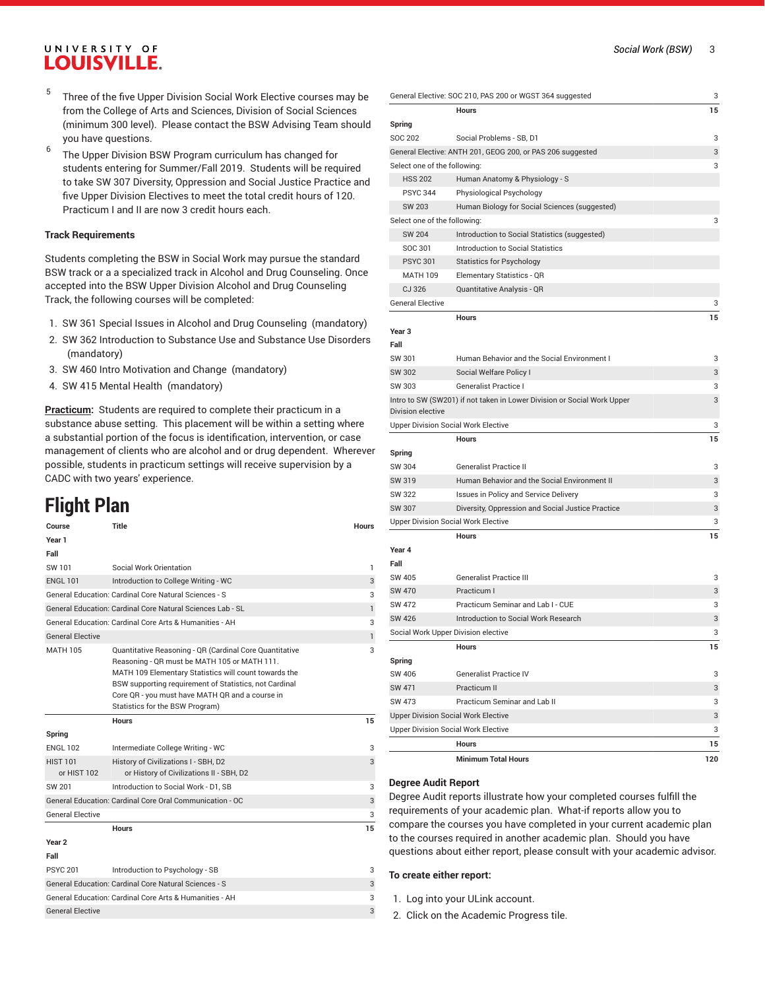- 5 Three of the five Upper Division Social Work Elective courses may be from the College of Arts and Sciences, Division of Social Sciences (minimum 300 level). Please contact the BSW Advising Team should you have questions.
- 6 The Upper Division BSW Program curriculum has changed for students entering for Summer/Fall 2019. Students will be required to take SW 307 Diversity, Oppression and Social Justice Practice and five Upper Division Electives to meet the total credit hours of 120. Practicum I and II are now 3 credit hours each.

#### **Track Requirements**

Students completing the BSW in Social Work may pursue the standard BSW track or a a specialized track in Alcohol and Drug Counseling. Once accepted into the BSW Upper Division Alcohol and Drug Counseling Track, the following courses will be completed:

- 1. SW 361 Special Issues in Alcohol and Drug Counseling (mandatory)
- 2. SW 362 Introduction to Substance Use and Substance Use Disorders (mandatory)
- 3. SW 460 Intro Motivation and Change (mandatory)
- 4. SW 415 Mental Health (mandatory)

**Practicum:** Students are required to complete their practicum in a substance abuse setting. This placement will be within a setting where a substantial portion of the focus is identification, intervention, or case management of clients who are alcohol and or drug dependent. Wherever possible, students in practicum settings will receive supervision by a CADC with two years' experience.

# **Flight Plan**

| Course                         | Title                                                                                                                                                                                                                                                                                                            | <b>Hours</b> |
|--------------------------------|------------------------------------------------------------------------------------------------------------------------------------------------------------------------------------------------------------------------------------------------------------------------------------------------------------------|--------------|
| Year 1                         |                                                                                                                                                                                                                                                                                                                  |              |
| Fall                           |                                                                                                                                                                                                                                                                                                                  |              |
| SW 101                         | Social Work Orientation                                                                                                                                                                                                                                                                                          | 1            |
| <b>ENGL 101</b>                | Introduction to College Writing - WC                                                                                                                                                                                                                                                                             | 3            |
|                                | General Education: Cardinal Core Natural Sciences - S                                                                                                                                                                                                                                                            | 3            |
|                                | General Education: Cardinal Core Natural Sciences Lab - SL                                                                                                                                                                                                                                                       | $\mathbf{1}$ |
|                                | General Education: Cardinal Core Arts & Humanities - AH                                                                                                                                                                                                                                                          | 3            |
| <b>General Elective</b>        |                                                                                                                                                                                                                                                                                                                  | $\mathbf{1}$ |
| <b>MATH 105</b>                | Quantitative Reasoning - QR (Cardinal Core Quantitative<br>Reasoning - QR must be MATH 105 or MATH 111.<br>MATH 109 Elementary Statistics will count towards the<br>BSW supporting requirement of Statistics, not Cardinal<br>Core QR - you must have MATH QR and a course in<br>Statistics for the BSW Program) | 3            |
|                                | <b>Hours</b>                                                                                                                                                                                                                                                                                                     | 15           |
| Spring                         |                                                                                                                                                                                                                                                                                                                  |              |
| <b>ENGL 102</b>                | Intermediate College Writing - WC                                                                                                                                                                                                                                                                                | 3            |
| <b>HIST 101</b><br>or HIST 102 | History of Civilizations I - SBH, D2<br>or History of Civilizations II - SBH, D2                                                                                                                                                                                                                                 | 3            |
| SW 201                         | Introduction to Social Work - D1, SB                                                                                                                                                                                                                                                                             | 3            |
|                                | General Education: Cardinal Core Oral Communication - OC                                                                                                                                                                                                                                                         | 3            |
| <b>General Elective</b>        |                                                                                                                                                                                                                                                                                                                  | 3            |
|                                | <b>Hours</b>                                                                                                                                                                                                                                                                                                     | 15           |
| Year <sub>2</sub>              |                                                                                                                                                                                                                                                                                                                  |              |
| Fall                           |                                                                                                                                                                                                                                                                                                                  |              |
| <b>PSYC 201</b>                | Introduction to Psychology - SB                                                                                                                                                                                                                                                                                  | 3            |
|                                | <b>General Education: Cardinal Core Natural Sciences - S</b>                                                                                                                                                                                                                                                     | 3            |
|                                | General Education: Cardinal Core Arts & Humanities - AH                                                                                                                                                                                                                                                          | 3            |
| <b>General Elective</b>        |                                                                                                                                                                                                                                                                                                                  | 3            |

|                                            | General Elective: SOC 210, PAS 200 or WGST 364 suggested                | 3   |
|--------------------------------------------|-------------------------------------------------------------------------|-----|
|                                            | <b>Hours</b>                                                            | 15  |
| Spring                                     |                                                                         |     |
| <b>SOC 202</b>                             | Social Problems - SB, D1                                                | 3   |
|                                            | General Elective: ANTH 201, GEOG 200, or PAS 206 suggested              | 3   |
| Select one of the following:               |                                                                         | 3   |
| <b>HSS 202</b>                             | Human Anatomy & Physiology - S                                          |     |
| <b>PSYC 344</b>                            | Physiological Psychology                                                |     |
| <b>SW 203</b>                              | Human Biology for Social Sciences (suggested)                           |     |
| Select one of the following:               |                                                                         | 3   |
| <b>SW 204</b>                              | Introduction to Social Statistics (suggested)                           |     |
| SOC 301                                    | <b>Introduction to Social Statistics</b>                                |     |
| <b>PSYC 301</b>                            | <b>Statistics for Psychology</b>                                        |     |
| <b>MATH 109</b>                            | Elementary Statistics - QR                                              |     |
| CJ 326                                     | Quantitative Analysis - QR                                              |     |
| <b>General Elective</b>                    |                                                                         | 3   |
|                                            | <b>Hours</b>                                                            | 15  |
| Year 3                                     |                                                                         |     |
| Fall                                       |                                                                         |     |
| SW 301                                     | Human Behavior and the Social Environment I                             | 3   |
| SW 302                                     | Social Welfare Policy I                                                 | 3   |
| SW 303                                     | Generalist Practice I                                                   | 3   |
|                                            | Intro to SW (SW201) if not taken in Lower Division or Social Work Upper | 3   |
| Division elective                          |                                                                         |     |
| <b>Upper Division Social Work Elective</b> |                                                                         | 3   |
|                                            | <b>Hours</b>                                                            | 15  |
| Spring                                     |                                                                         |     |
| SW 304                                     | <b>Generalist Practice II</b>                                           | 3   |
| SW 319                                     | Human Behavior and the Social Environment II                            | 3   |
| SW 322                                     | Issues in Policy and Service Delivery                                   | 3   |
| SW 307                                     | Diversity, Oppression and Social Justice Practice                       | 3   |
| <b>Upper Division Social Work Elective</b> |                                                                         | 3   |
|                                            | <b>Hours</b>                                                            | 15  |
| Year 4                                     |                                                                         |     |
| Fall                                       |                                                                         |     |
| SW 405                                     | <b>Generalist Practice III</b>                                          | 3   |
| <b>SW 470</b>                              | Practicum I                                                             | 3   |
| SW 472                                     | Practicum Seminar and Lab I - CUE                                       | 3   |
| SW 426                                     | Introduction to Social Work Research                                    | 3   |
| Social Work Upper Division elective        |                                                                         | 3   |
|                                            | Hours                                                                   | 15  |
| Spring                                     |                                                                         |     |
| SW 406                                     | <b>Generalist Practice IV</b>                                           | 3   |
| <b>SW 471</b>                              | Practicum II                                                            | 3   |
| SW 473                                     | Practicum Seminar and Lab II                                            | 3   |
| <b>Upper Division Social Work Elective</b> |                                                                         | 3   |
| <b>Upper Division Social Work Elective</b> |                                                                         | 3   |
|                                            | Hours                                                                   | 15  |
|                                            | <b>Minimum Total Hours</b>                                              | 120 |

#### **Degree Audit Report**

Degree Audit reports illustrate how your completed courses fulfill the requirements of your academic plan. What-if reports allow you to compare the courses you have completed in your current academic plan to the courses required in another academic plan. Should you have questions about either report, please consult with your academic advisor.

#### **To create either report:**

- 1. Log into your ULink account.
- 2. Click on the Academic Progress tile.